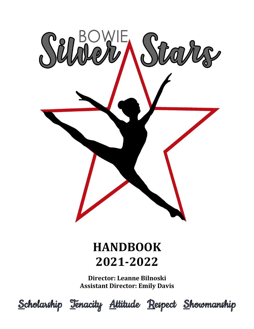

# **HANDBOOK 2021-2022**

**Director: Leanne Bilnoski Assistant Director: Emily Davis** 



Scholarship Tenacity Attitude Respect Showmanship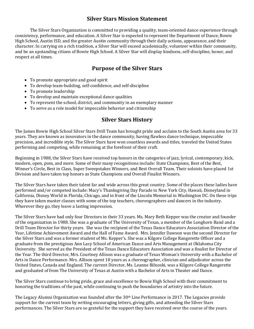## **Silver Stars Mission Statement**

The Silver Stars Organization is committed to providing a quality, team-oriented dance experience through consistency, performance, and education. A Silver Star is expected to represent the Department of Dance, Bowie High School, Austin ISD, and the greater Austin community through their daily actions, appearance, and their character. In carrying on a rich tradition, a Silver Star will exceed academically, volunteer within their community, and be an upstanding citizen of Bowie High School. A Silver Star will display kindness, self-discipline, honor, and respect at all times.

## **Purpose of the Silver Stars**

- To promote appropriate and good spirit
- To develop team-building, self-confidence, and self-discipline
- To promote leadership
- To develop and maintain exceptional dance qualities
- To represent the school, district, and community in an exemplary manner
- To serve as a role model for impeccable behavior and citizenship

## **Silver Stars History**

The James Bowie High School Silver Stars Drill Team has brought pride and acclaim to the South Austin area for 33 years. They are known as innovators in the dance community, having flawless dance technique, impeccable precision, and incredible style. The Silver Stars have won countless awards and titles, traveled the United States performing and competing, while remaining at the forefront of their craft.

Beginning in 1988, the Silver Stars have received top honors in the categories of jazz, lyrical, contemporary, kick, modern, open, pom, and more. Some of their many recognitions include: State Champions, Best of the Best, Winner's Circle, Best in Class, Super Sweepstakes Winners, and Best Overall Team. Their soloists have placed 1st Division and have taken top honors as State Champions and Overall Finalist Winners.

The Silver Stars have taken their talent far and wide across this great country. Some of the places these ladies have performed and/or competed include: Macy's Thanksgiving Day Parade in New York City, Hawaii, Disneyland in California, Disney World in Florida, Chicago, and in front of the Lincoln Memorial in Washington DC. On these trips they have taken master classes with some of the top teachers, choreographers and dancers in the industry. Wherever they go, they leave a lasting impression.

The Silver Stars have had only four Directors in their 33 years. Ms. Mary Beth Kepper was the creator and founder of the organization in 1988. She was a graduate of The University of Texas, a member of the Longhorn Band and a Drill Team Director for thirty years. She was the recipient of the Texas Dance Educators Association Director of the Year, Lifetime Achievement Award and the Hall of Fame Award. Mrs. Jennifer Dawson was the second Director for the Silver Stars and was a former student of Ms. Kepper's. She was a Kilgore College Rangerette Officer and a graduate from the prestigious Ann Lacy School of American Dance and Arts Management at Oklahoma City University. She served as the President of the Texas Dance Educators Association and was a finalist for Director of the Year. The third Director, Mrs. Courtney Allison was a graduate of Texas Woman's University with a Bachelor of Arts in Dance Performance. Mrs. Allison spent 18 years as a choreographer, clinician and adjudicator across the United States, Canada and England. The current Director, Ms. Leanne Bilnoski, was a Kilgore College Rangerette and graduated of from The University of Texas at Austin with a Bachelor of Arts in Theater and Dance.

The Silver Stars continue to bring pride, grace and excellence to Bowie High School with their commitment to honoring the traditions of the past, while continuing to push the boundaries of artistry into the future.

The Legacy Alumni Organization was founded after the  $30<sup>th</sup>$  Line Performance in 2017. The Legacies provide support for the current team by writing encouraging letters, giving gifts, and attending the Silver Stars performances. The Silver Stars are so grateful for the support they have received over the course of the years.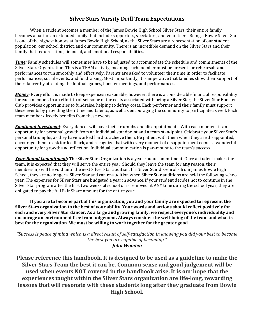## **Silver Stars Varsity Drill Team Expectations**

When a student becomes a member of the James Bowie High School Silver Stars, their entire family becomes a part of an extended family that include supporters, spectators, and volunteers. Being a Bowie Silver Star is one of the highest honors at James Bowie High School, as the Silver Stars are a representation of our student population, our school district, and our community. There is an incredible demand on the Silver Stars and their family that requires time, financial, and emotional responsibilities.

*Time:* Family schedules will sometimes have to be adiusted to accommodate the schedule and commitments of the Silver Stars Organization. This is a TEAM activity, meaning each member must be present for rehearsals and performances to run smoothly and effectively. Parents are asked to volunteer their time in order to facilitate performances, social events, and fundraising. Most importantly, it is imperative that families show their support of their dancer by attending the football games, booster meetings, and performances.

*Money*: Every effort is made to keep expenses reasonable, however, there is a considerable financial responsibility for each member. In an effort to offset some of the costs associated with being a Silver Star, the Silver Star Booster Club provides opportunities to fundraise, helping to defray costs. Each performer and their family must support these events by providing their time and talents, as well as encouraging the community to participate as well. Each team member directly benefits from these events.

*Emotional Investment*: Every dancer will have their triumphs and disappointments. With each moment is an opportunity for personal growth from an individual standpoint and a team standpoint. Celebrate your Silver Star's personal triumphs, as they have worked hard to achieve them. Be patient with them when they are disappointed, encourage them to ask for feedback, and recognize that with every moment of disappointment comes a wonderful opportunity for growth and reflection. Individual communication is paramount to the team's success.

*Year-Round Commitment:* The Silver Stars Organization is a year-round commitment. Once a student makes the team, it is expected that they will serve the entire year. Should they leave the team for **any** reason, their membership will be void until the next Silver Star audition. If a Silver Star dis-enrolls from James Bowie High School, they are no longer a Silver Star and can re-audition when Silver Star auditions are held the following school year. The expenses for Silver Stars are budgeted a year in advance, if your student decides not to continue in the Silver Star program after the first two weeks of school or is removed at ANY time during the school year, they are obligated to pay the full Fair Share amount for the entire year.

**If** you are to become part of this organization, you and your family are expected to represent the Silver Stars organization to the best of your ability. Your words and actions should reflect positively for each and every Silver Star dancer. As a large and growing family, we respect everyone's individuality and encourage an environment free from judgement. Always consider the well-being of the team and what is best for the organization. We must be willing to work together for the greater good.

*"Success is peace of mind which is a direct result of self-satisfaction in knowing you did your best to become the best you are capable of becoming."* 

*John Wooden*

**Please reference this handbook. It is designed to be used as a guideline to make the Silver Stars Team the best it can be. Common sense and good judgement will be** used when events NOT covered in the handbook arise. It is our hope that the experiences taught within the Silver Stars organization are life-long, rewarding lessons that will resonate with these students long after they graduate from Bowie **High School.**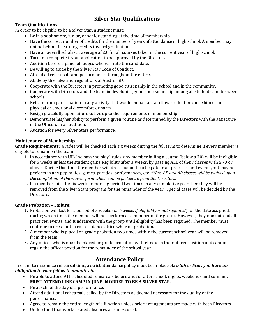# **Silver Star Qualifications**

## **Team Qualifications**

In order to be eligible to be a Silver Star, a student must:

- Be in a sophomore, junior, or senior standing at the time of membership.
- Have the correct number of credits for the number of years of attendance in high school. A member may not be behind in earning credits toward graduation.
- Have an overall scholastic average of 2.0 for all courses taken in the current year of high school.
- Turn in a complete tryout application to be approved by the Directors.
- Audition before a panel of judges who will rate the candidate.
- Be willing to abide by the Silver Star Code of Conduct.
- Attend all rehearsals and performances throughout the entire.
- Abide by the rules and regulations of Austin ISD.
- Cooperate with the Directors in promoting good citizenship in the school and in the community.
- Cooperate with Directors and the team in developing good sportsmanship among all students and between schools.
- Refrain from participation in any activity that would embarrass a fellow student or cause him or her physical or emotional discomfort or harm.
- Resign gracefully upon failure to live up to the requirements of membership.
- Demonstrate his/her ability to perform a given routine as determined by the Directors with the assistance of the Officers in an audition.
- Audition for every Silver Stars performance.

## **Maintenance of Membership**

Grade Requirements: Grades will be checked each six weeks during the full term to determine if every member is eligible to remain on the team.

- 1. In accordance with UIL "no pass/no play" rules, any member failing a course (below a 70) will be ineligible for 6 weeks unless the student gains eligibility after 3 weeks, by passing ALL of their classes with a 70 or above. During that time the member will dress out and participate in all practices and events, but may not perform in any pep rallies, games, parades, performances, etc. \*\**Pre-AP* and AP classes will be waived upon *the completion of the waiver form which can be picked up from the Directors.*
- 2. If a member fails the six weeks reporting period <u>two times</u> in any cumulative year then they will be removed from the Silver Stars program for the remainder of the year. Special cases will be decided by the Directors.

## **Grade Probation - Failure:**

- 1. Probation will last for a period of 3 weeks (or 6 weeks if eligibility is not regained) for the date assigned, during which time, the member will not perform as a member of the group. However, they must attend all practices, events, and fundraisers with the group until eligibility has been regained. The member must continue to dress out in correct dance attire while on probation.
- 2. A member who is placed on grade probation two times within the current school year will be removed from the team.
- 3. Any officer who is must be placed on grade probation will relinquish their officer position and cannot regain the officer position for the remainder of the school year.

## **Attendance Policy**

In order to maximize rehearsal time, a strict attendance policy must be in place. As a Silver Star, you have an *obligation to your fellow teammates to:* 

- Be able to attend ALL scheduled rehearsals before and/or after school, nights, weekends and summer. **MUST ATTEND LINE CAMP IN JUNE IN ORDER TO BE A SILVER STAR.**
- Be at school the day of a performance.
- Attend additional rehearsals called by the Directors as deemed necessary for the quality of the performance.
- Agree to remain the entire length of a function unless prior arrangements are made with both Directors.
- Understand that work-related absences are unexcused.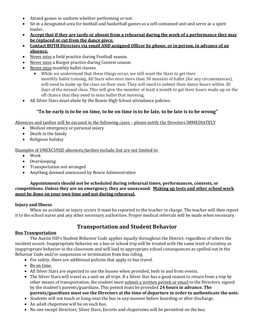- Attend games in uniform whether performing or not.
- Sit in a designated area for football and basketball games as a self-contained unit and serve as a spirit leader.
- Accept that if they are tardy or absent from a rehearsal during the week of a performance they may **be replaced or cut from the dance piece.**
- Contact BOTH Directors via email AND assigned Officer by phone, or in person, in advance of an **absence.**
- Never miss a field practice during Football season.
- Never miss a Burger practice during Contest season.
- Never miss monthly ballet classes.
	- While we understand that these things occur, we still want the Stars to get their monthly ballet training. All Stars who miss more than 30 minutes of ballet (for any circumstances), will need to make up the class on their own. They will need to submit their dance hours within 30 days of the missed class. This will give the member at least a month to get their hours made up on the off chance that they need to miss ballet that morning.
- All Silver Stars must abide by the Bowie High School attendance policies.

## "To be early is to be on time, to be on time is to be late, to be late is to be wrong"

Absences and tardies will be excused in the following cases - please notify the Directors IMMEDIATELY

- Medical emergency or personal injury
- $\bullet$  Death in the family
- $\bullet$  Religious holiday

Examples of UNEXCUSED absences/tardies include, but are not limited to:

- Work
- Oversleeping
- Transportation not arranged
- Anything deemed unexcused by Bowie Administration

## Appointments should not be scheduled during rehearsal times, performances, contests, or competitions. Unless they are an emergency, they are unexcused. Making up tests and other school work **must be done on your own time and not during rehearsal.**

## **Injury and Illness**

When an accident or injury occurs it must be reported to the teacher in charge. The teacher will then report it to the school nurse and any other necessary authorities. Proper medical referrals will be made when necessary.

# **Transportation and Student Behavior**

## **Bus Transportation**

The Austin ISD's Student Behavior Code applies equally throughout the District, regardless of where the incident occurs. Inappropriate behavior on a bus or school trip will be treated with the same level of scrutiny as inappropriate behavior in the classroom and will lead to appropriate school consequences as spelled out in the Behavior Code and/or suspension or termination from bus riding.

- For safety, there are additional policies that apply to bus travel.
- Be on time.
- All Silver Stars are expected to use the busses when provided, both to and from events.
- The Silver Stars will travel as a unit on all trips. If a Silver Star has a good reason to return from a trip by other means of transportation, the student must submit a written permit or email to the Directors, signed by the student's parents/guardians. This permit must be provided 24 hours in advance. The **parents/guardians must see the Directors at the time of departure in order to authenticate the note.**
- Students will not touch or hang onto the bus in any manner before boarding or after discharge.
- An adult chaperone will be on each bus.
- No one except Directors, Silver Stars, Escorts and chaperones will be permitted on the bus.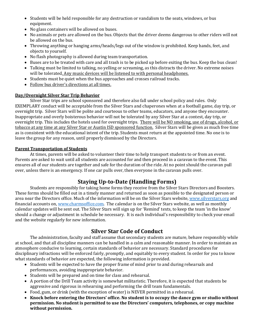- Students will be held responsible for any destruction or vandalism to the seats, windows, or bus equipment.
- No glass containers will be allowed on buses.
- No animals or pets are allowed on the bus. Objects that the driver deems dangerous to other riders will not be allowed on the bus.
- Throwing anything or hanging arms/heads/legs out of the window is prohibited. Keep hands, feet, and objects to yourself.
- No flash photography is allowed during team transportation.
- Buses are to be treated with care and all trash is to be picked up before exiting the bus. Keep the bus clean!
- Talking must be limited to talking, no yelling or screaming, as this distracts the driver. No extreme noises will be tolerated. Any music devices will be listened to with personal headphones.
- Students must be quiet when the bus approaches and crosses railroad tracks.
- Follow bus driver's directions at all times.

## **Day/Overnight Silver Star Trip Behavior**

Silver Star trips are school sponsored and therefore also fall under school policy and rules. Only EXEMPLARY conduct will be acceptable from the Silver Stars and chaperones when at a football game, day trip, or overnight trip. Silver Stars will be polite and courteous to other teams, educators, and anyone they encounter. Inappropriate and overly boisterous behavior will not be tolerated by any Silver Star at a contest, day trip, or overnight trip. This includes the hotels used for overnight trips. There will be NO smoking, use of drugs, alcohol, or tobacco at any time at any Silver Star or Austin ISD sponsored function. Silver Stars will be given as much free time as is consistent with the educational intent of the trip. Students must return at the appointed time. No one is to leave the group for any reason, until properly dismissed by the Directors.

#### **Parent Transportation of Students**

At times, parents will be asked to volunteer their time to help transport students to or from an event. Parents are asked to wait until all students are accounted for and then proceed in a caravan to the event. This ensures all of our students are together and safe for the duration of the ride. At no point should the caravan pull over, unless there is an emergency. If one car pulls over, then everyone in the caravan pulls over.

# **Staying Up-to-Date (Handling Forms)**

Students are responsibly for taking home forms they receive from the Silver Stars Directors and Boosters. These forms should be filled out in a timely manner and returned as soon as possible to the designated person or area near the Directors office. Much of the information will be on the Silver Stars website, www.silverstars.org and financial accounts on, www.charmsoffice.com. The calendar is on the Silver Stars website, as well as monthly calendar updates will be sent out. The Silver Stars will sign up for 'Remind' texts, to keep the team 'in the know' should a change or adjustment in schedule be necessary. It is each individual's responsibility to check your email and the website regularly for new information.

# **Silver Star Code of Conduct**

The administration, faculty and staff assume that secondary students are mature, behave responsibly while at school, and that all discipline manners can be handled in a calm and reasonable manner. In order to maintain an atmosphere conducive to learning, certain standards of behavior are necessary. Standard procedures for disciplinary infractions will be enforced fairly, promptly, and equitably to every student. In order for you to know what standards of behavior are expected, the following information is provided.

- Students will be expected to have the proper frame of mind prior to and during rehearsals and performances, avoiding inappropriate behavior.
- Students will be prepared and on time for class and rehearsal.
- A portion of the Drill Team activity is somewhat militaristic. Therefore, it is expected that students be aggressive and rigorous in rehearsing and performing the drill team fundamentals.
- Food, gum, or drink (with the exception of water) is NEVER permitted in a rehearsal.
- Knock before entering the Directors' office. No student is to occupy the dance gym or studio without **permission.** No student is permitted to use the Directors' computers, telephones, or copy machine **without permission.**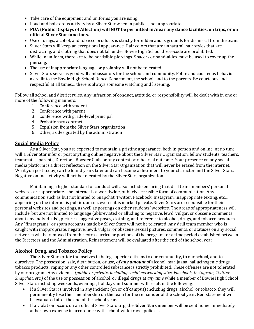- Take care of the equipment and uniforms you are using.
- Loud and boisterous activity by a Silver Star when in public is not appropriate.
- PDA (Public Displays of Affection) will NOT be permitted in/near any dance facilities, on trips, or on **official Silver Star functions.**
- Use of drugs, alcohol, and tobacco products is strictly forbidden and is grounds for dismissal from the team.
- Silver Stars will keep an exceptional appearance. Hair colors that are unnatural, hair styles that are distracting, and clothing that does not fall under Bowie High School dress-code are prohibited.
- While in uniform, there are to be no visible piercings. Spacers or band-aides must be used to cover up the piercing.
- The use of inappropriate language or profanity will not be tolerated.
- Silver Stars serve as good-will ambassadors for the school and community. Polite and courteous behavior is a credit to the Bowie High School Dance Department, the school, and to the parents. Be courteous and respectful at all times... there is always someone watching and listening.

Follow all school and district rules. Any infraction of conduct, attitude, or responsibility will be dealt with in one or more of the following manners:

- 1. Conference with student
- 2. Conference with parent
- 3. Conference with grade-level principal
- 4. Probationary contract
- 5. Expulsion from the Silver Stars organization
- 6. Other, as designated by the administration

## **Social Media Policy**

As a Silver Star, you are expected to maintain a pristine appearance, both in person and online. At no time will a Silver Star infer or post anything online negative about the Silver Star Organization, fellow students, teachers, teammates, parents, Directors, Booster Club, or any contest or rehearsal outcome. Your presence on any social media platform is a direct reflection on the Silver Star Organization that will never be erased from the internet. What you post today, can be found years later and can become a detriment to your character and the Silver Stars. Negative online activity will not be tolerated by the Silver Stars organization.

Maintaining a higher standard of conduct will also include ensuring that drill team members' personal websites are appropriate. The internet is a worldwide, publicly accessible form of communication. Any communication such as but not limited to Snapchat, Twitter, Facebook, Instagram, inappropriate texting, etc... appearing on the internet is public domain, even if it is marked private. Silver Stars are responsible for their personal websites and postings, as well as postings on other students' websites. The areas of appropriateness will include, but are not limited to language (abbreviated or alluding to negative, lewd, vulgar, or obscene comments about any individuals), pictures, suggestive poses, clothing, and reference to alcohol, drugs, and tobacco products. Any "finstagrams" or spam accounts made by Silver Stars will not be tolerated. Any drill team member who is caught with inappropriate, negative, lewd, vulgar, or obscene, sexual pictures, comments, or statuses on any social networks will be removed from the extra-curricular portions of the program for a time period established between the Directors and the Administration. Reinstatement will be evaluated after the end of the school year.

## **Alcohol, Drug, and Tobacco Policy**

The Silver Stars pride themselves in being superior citizens to our community, to our school, and to ourselves. The possession, sale, distribution, or use, *of any amount* of alcohol, marijuana, hallucinogenic drugs, tobacco products, vaping or any other controlled substance is strictly prohibited. These offenses are not tolerated by our program. Any evidence *(public or private, including social networking sites, Facebook, Instagram, Twitter, Snapchat, etc.*) of the use or possession of alcohol, or illegal drugs at *any time* while a member of Bowie High School Silver Stars including weekends, evenings, holidays and summer will result in the following:

- If a Silver Star is involved in any incident (on or off campus) including drugs, alcohol, or tobacco, they will permanently lose their membership on the team for the remainder of the school year. Reinstatement will be evaluated after the end of the school year.
- If a violation occurs on an official Silver Stars trip, the Silver Stars member will be sent home immediately at her own expense in accordance with school-wide travel policies.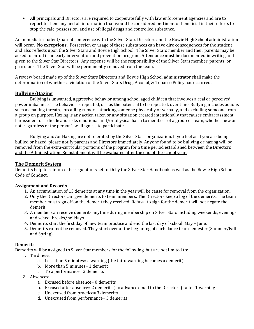• All principals and Directors are required to cooperate fully with law enforcement agencies and are to report to them any and all information that would be considered pertinent or beneficial in their efforts to stop the sale, possession, and use of illegal drugs and controlled substance.

An immediate student/parent conference with the Silver Stars Directors and the Bowie High School administration will occur. **No exceptions.** Possession or usage of these substances can have dire consequences for the student and also reflects upon the Silver Stars and Bowie High School. The Silver Stars member and their parents may be asked to enroll in an early intervention and prevention program. Attendance must be documented in writing and given to the Silver Star Directors. Any expense will be the responsibility of the Silver Stars member, parents, or guardians. The Silver Star will be permanently removed from the team.

A review board made up of the Silver Stars Directors and Bowie High School administrator shall make the determination of whether a violation of the Silver Stars Drug, Alcohol, & Tobacco Policy has occurred.

## **Bullying/Hazing**

Bullying is unwanted, aggressive behavior among school aged children that involves a real or perceived power imbalance. The behavior is repeated, or has the potential to be repeated, over time. Bullying includes actions such as making threats, spreading rumors, attacking someone physically or verbally, and excluding someone from a group on purpose. Hazing is any action taken or any situation created intentionally that causes embarrassment, harassment or ridicule and risks emotional and/or physical harm to members of a group or team, whether new or not, regardless of the person's willingness to participate.

Bullying and/or Hazing are not tolerated by the Silver Stars organization. If you feel as if you are being bullied or hazed, please notify parents and Directors immediately. Anyone found to be bullying or hazing will be removed from the extra-curricular portions of the program for a time period established between the Directors and the Administration. Reinstatement will be evaluated after the end of the school year.

## **The Demerit System**

Demerits help to reinforce the regulations set forth by the Silver Star Handbook as well as the Bowie High School Code of Conduct.

#### **Assignment and Records**

- 1. An accumulation of 15 demerits at any time in the year will be cause for removal from the organization.
- 2. Only the Directors can give demerits to team members. The Directors keep a log of the demerits. The team member must sign off on the demerit they received. Refusal to sign for the demerit will not negate the demerit.
- 3. A member can receive demerits anytime during membership on Silver Stars including weekends, evenings and school breaks/holidays.
- 4. Demerits start the first day of new team practice and end the last day of school: May June.
- 5. Demerits cannot be removed. They start over at the beginning of each dance team semester (Summer/Fall and Spring).

#### **Demerits**

Demerits will be assigned to Silver Star members for the following, but are not limited to:

- 1. Tardiness:
	- a. Less than 5 minutes= a warning (the third warning becomes a demerit)
	- b. More than 5 minutes= 1 demerit
	- c. To a performance= 2 demerits
- 2. Absences:
	- a. Excused before absence= 0 demerits
	- b. Excused after absence= 2 demerits (no advance email to the Directors) (after 1 warning)
	- c. Unexcused from practice= 3 demerits
	- d. Unexcused from performance= 5 demerits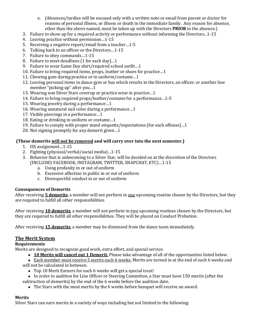- e. (Absences/tardies will be excused only with a written note or email from parent or doctor for reasons of personal illness, or illness or death in the immediate family. Any reason for absence, other than the above named, must be taken up with the Directors **PRIOR** to the absence.)
- 3. Failure to show up for a required activity or performance without informing the Directors...1-15
- 4. Leaving practice without permission...1-15
- 5. Receiving a negative report/email from a teacher...1-5
- 6. Talking back to an officer or the Directors...1-15
- 7. Failure to obey commands...1-15
- 8. Failure to meet deadlines (1 for each day)...1
- 9. Failure to wear Game Day shirt/required school outfit...1
- 10. Failure to bring required items, props, leather or shoes for practice...1
- 11. Chewing gum during practice or in uniform/costume...1
- 12. Leaving personal items in dance gym or bus which results in the Directors, an officer, or another line member "picking up" after you...1
- 13. Wearing non Silver Stars coverup or practice wear in practice...1
- 14. Failure to bring required props/leather/costume for a performance...1-5
- 15. Wearing jewelry during a performance...1
- 16. Wearing unnatural nail color during a performance...1
- 17. Visible piercings in a performance...1
- 18. Eating or drinking in uniform or costume...1
- 19. Failure to comply with proper stand etiquette/expectations (for each offense)...1
- 20. Not signing promptly for any demerit given...1

## **(These demerits will not be removed and will carry over into the next semester.)**

- 1. ISS assignment...1-15
- 2. Fighting (physical/verbal/social media)...1-15
- 3. Behavior that is unbecoming to a Silver Star, will be decided on at the discretion of the Directors (INCLUDES FACEBOOK, INSTAGRAM, TWITTER, SNAPCHAT, ETC)...1-15
	- a. Using profanity in or out of uniform
	- b. Excessive affection in public in or out of uniform
	- c. Disrespectful conduct in or out of uniform

#### **Consequences of Demerits**

After receiving **5 demerits**, a member will not perform in one upcoming routine chosen by the Directors, but they are required to fulfill all other responsibilities.

After receiving 10 demerits, a member will not perform in two upcoming routines chosen by the Directors, but they are required to fulfill all other responsibilities. They will be placed on Conduct Probation.

After receiving **15 demerits**, a member may be dismissed from the dance team immediately.

## **The Merit System**

#### **Requirements**

Merits are designed to recognize good work, extra effort, and special service.

• **10 Merits will cancel out 1 Demerit.** Please take advantage of all of the opportunities listed below.

• Each member must receive 5 merits each 6 weeks. Merits are turned in at the end of each 6 weeks and

will not be calculated in between.

- Top 10 Merit Earners for each 6 weeks will get a special treat!
- In order to audition for Line Officer or Steering Committee, a Star must have 150 merits (after the
- subtraction of demerits) by the end of the 6 weeks before the audition date.
	- The Stars with the most merits by the 6 weeks before banquet will receive an award.

#### **Merits**

Silver Stars can earn merits in a variety of ways including but not limited to the following: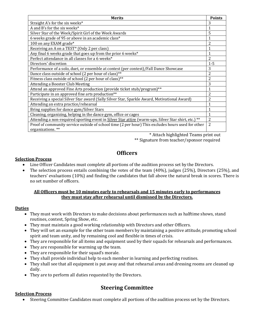| <b>Merits</b>                                                                                        | <b>Points</b>  |
|------------------------------------------------------------------------------------------------------|----------------|
| Straight A's for the six weeks*                                                                      | 3              |
| A and B's for the six weeks*                                                                         | 1              |
| Silver Star of the Week/Spirit Girl of the Week Awards                                               | 5              |
| 6 weeks grade of 95 or above in an academic class*                                                   | 1              |
| 100 on any EXAM grade*                                                                               | 2              |
| Receiving an A on a TEST* (Only 2 per class)                                                         | 1              |
| Any final 6 weeks grade that goes up from the prior 6 weeks*                                         | 1              |
| Perfect attendance in all classes for a 6 weeks*                                                     | 2              |
| Directors' discretion                                                                                | $1 - 5$        |
| Performance of a solo, duet, or ensemble at contest (per contest)/Fall Dance Showcase                | 3              |
| Dance class outside of school (2 per hour of class)**                                                | 2              |
| Fitness class outside of school (2 per hour of class)**                                              | $\overline{2}$ |
| Attending a Booster Club Meeting                                                                     | 3              |
| Attend an approved Fine Arts production (provide ticket stub/program)**                              | 1              |
| Participate in an approved fine arts production**                                                    | 2              |
| Receiving a special Silver Star award (Sally Silver Star, Sparkle Award, Motivational Award)         | 2              |
| Attending an extra practice/rehearsal                                                                | 1              |
| Bring supplies for dance gym/Silver Stars                                                            | 1              |
| Cleaning, organizing, helping in the dance gym, office or cages                                      | 1              |
| Attending a non-required sporting event in Silver Star attire (warm-ups, Silver Star shirt, etc.) ** | 2              |
| Proof of community service outside of school time (2 per hour) This excludes hours used for other    | $\overline{2}$ |
| organizations.**                                                                                     |                |

\* Attach highlighted Teams print out

\*\* Signature from teacher/sponsor required

## **Officers**

#### **Selection Process**

- Line Officer Candidates must complete all portions of the audition process set by the Directors.
- The selection process entails combining the votes of the team  $(40\%)$ , judges  $(25\%)$ , Directors  $(25\%)$ , and teachers' evaluations (10%) and finding the candidates that fall above the natural break in scores. There is no set number of officers.

#### **<u>All Officers must be 10 minutes early to rehearsals and 15 minutes early to performances</u> they must stay after rehearsal until dismissed by the Directors.**

#### **Duties**

- They must work with Directors to make decisions about performances such as halftime shows, stand routines, contest, Spring Show, etc.
- They must maintain a good working relationship with Directors and other Officers.
- They will set an example for the other team members by maintaining a positive attitude, promoting school spirit and team unity, and by remaining cool and flexible in times of crisis.
- They are responsible for all items and equipment used by their squads for rehearsals and performances.
- They are responsible for warming up the team.
- They are responsible for their squad's morale.
- They shall provide individual help to each member in learning and perfecting routines.
- They shall see that all equipment is put away and that rehearsal areas and dressing rooms are cleaned up daily.
- They are to perform all duties requested by the Directors.

## **Steering Committee**

#### **Selection Process**

• Steering Committee Candidates must complete all portions of the audition process set by the Directors.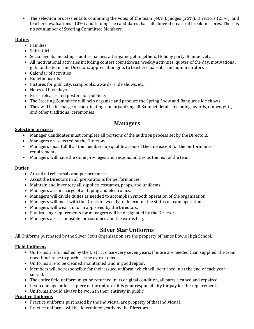• The selection process entails combining the votes of the team  $(40\%)$ , judges  $(25\%)$ , Directors  $(25\%)$ , and teachers' evaluations (10%) and finding the candidates that fall above the natural break in scores. There is no set number of Steering Committee Members.

## **Duties**

- Families
- Spirit Girl
- Social events including slumber parties, after-game get togethers, Holiday party, Banquet, etc.
- All motivational activities including contest countdowns, weekly activities, quotes of the day, motivational gifts to the team and Directors, appreciation gifts to teachers, parents, and administrators
- Calendar of activities
- Bulletin boards
- Pictures for publicity, scrapbooks, awards, slide shows, etc.,
- Notes all birthdays
- Press releases and posters for publicity
- The Steering Committee will help organize and produce the Spring Show and Banquet slide shows
- They will be in charge of coordinating, and organizing all Banquet details including awards, dinner, gifts, and other traditional ceremonies

## **Managers**

#### **Selection process:**

- Manager Candidates must complete all portions of the audition process set by the Directors.
- Managers are selected by the Directors.
- Managers must fulfill all the membership qualifications of the line except for the performance requirements.
- Managers will have the same privileges and responsibilities as the rest of the team.

## **Duties**

- Attend all rehearsals and performances
- Assist the Directors in all preparations for performances.
- Maintain and inventory all supplies, costumes, props, and uniforms.
- Managers are in charge of all taping and electronics.
- Managers will divide duties as needed to accomplish smooth operation of the organization.
- Managers will meet with the Directors weekly to determine the status of team operations.
- Managers will wear uniform approved by the Directors.
- Fundraising requirements for managers will be designated by the Directors.
- Managers are responsible for costumes and the extras bag.

## **Silver Star Uniforms**

All Uniforms purchased by the Silver Stars Organization are the property of James Bowie High School.

## **Field Uniforms**

- Uniforms are furnished by the District once every seven years. If more are needed than supplied, the team must fund-raise to purchase the extra items.
- $\bullet$  Uniforms are to be cleaned, maintained, and in good repair.
- Members will be responsible for their issued uniform, which will be turned in at the end of each year served.
- The entire field uniform must be returned in its original condition, all parts cleaned and repaired.
- If you damage or lose a piece of the uniform, it is your responsibility for pay for the replacement.
- Uniforms should always be worn in their entirety in public.

## **Practice Uniforms**

- Practice uniforms purchased by the individual are property of that individual.
- Practice uniforms will be determined yearly by the Directors.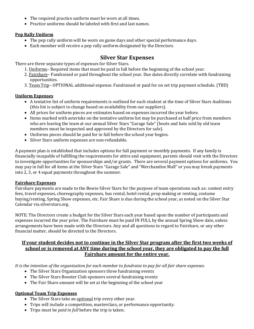- The required practice uniform must be worn at all times.
- Practice uniforms should be labeled with first and last names.

#### **Pep Rally Uniform**

- The pep rally uniform will be worn on game days and other special performance days.
- $\bullet$  Each member will receive a pep rally uniform designated by the Directors.

## **Silver Star Expenses**

There are three separate types of expenses for Silver Stars.

- 1. Uniforms– Required items that must be paid in full before the beginning of the school year.
- 2. Fairshare– Fundraised or paid throughout the school year. Due dates directly correlate with fundraising opportunities.
- 3. Team Trip– OPTIONAL additional expense. Fundraised or paid for on set trip payment schedule. (TBD)

## **Uniform Expenses**

- A tentative list of uniform requirements is outlined for each student at the time of Silver Stars Auditions (this list is subject to change based on availability from our suppliers).
- All prices for uniform pieces are estimates based on expenses incurred the year before.
- Items marked with asterisks on the tentative uniform list may be purchased at half price from members who are leaving the team at our annual Silver Stars "Garage Sale" (boots and hats sold by old team members must be inspected and approved by the Directors for sale).
- Uniforms pieces should be paid for in full before the school year begins.
- Silver Stars uniform expenses are non-refundable.

A payment plan is established that includes options for full payment or monthly payments. If any family is financially incapable of fulfilling the requirements for attire and equipment, parents should visit with the Directors to investigate opportunities for sponsorships and/or grants. There are several payment options for uniforms. You may pay in full for all items at the Silver Stars "Garage Sale" and "Merchandise Mall" or you may break payments into 2, 3, or 4 equal payments throughout the summer.

#### **Fairshare Expenses**

Fairshare payments are made to the Bowie Silver Stars for the purpose of team operations such as: contest entry fees, travel expenses, choreography expenses, bus rental, hotel rental, prop making or renting, costume buying/renting, Spring Show expenses, etc. Fair Share is due during the school year, as noted on the Silver Star Calendar via silverstars.org.

NOTE: The Directors create a budget for the Silver Stars each year based upon the number of participants and expenses incurred the year prior. The Fairshare must be paid IN FULL by the annual Spring Show date, unless arrangements have been made with the Directors. Any and all questions in regard to Fairshare, or any other financial matter, should be directed to the Directors.

## **If your student decides not to continue in the Silver Star program after the first two weeks of <u>school or is removed at ANY time during the school year, they are obligated to pay the full</u>** Fairshare amount for the entire vear.

It is the intention of the organization for each member to fundraise to pay for all fair share expenses.

- The Silver Stars Organization sponsors three fundraising events
- The Silver Stars Booster Club sponsors several fundraising events
- The Fair Share amount will be set at the beginning of the school year

#### **Optional Team Trip Expenses**

- The Silver Stars take an **optional** trip every other year.
- Trips will include a competition, masterclass, or performance opportunity.
- Trips must be *paid in full* before the trip is taken.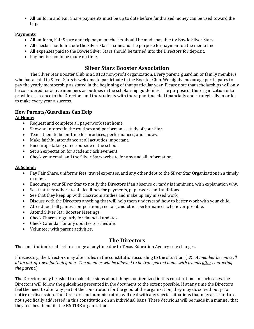• All uniform and Fair Share payments must be up to date before fundraised money can be used toward the trip.

## **Payments**

- All uniform, Fair Share and trip payment checks should be made payable to: Bowie Silver Stars.
- All checks should include the Silver Star's name and the purpose for payment on the memo line.
- All expenses paid to the Bowie Silver Stars should be turned into the Directors for deposit.
- Payments should be made on time.

## **Silver Stars Booster Association**

The Silver Star Booster Club is a 501c3 non-profit organization. Every parent, guardian or family members who has a child in Silver Stars is welcome to participate in the Booster Club. We highly encourage participates to pay the yearly membership as stated in the beginning of that particular year. Please note that scholarships will only be considered for active members as outlines in the scholarship guidelines. The purpose of this organization is to provide assistance to the Directors and the students with the support needed financially and strategically in order to make every year a success.

## **How Parents/Guardians Can Help**

## **At Home:**

- Request and complete all paperwork sent home.
- Show an interest in the routines and performance study of your Star.
- Teach them to be on-time for practices, performances, and shows.
- Make faithful attendance at all activities important.
- $\bullet$  Encourage taking dance outside of the school.
- Set an expectation for academic achievement.
- Check your email and the Silver Stars website for any and all information.

## **At School:**

- Pay Fair Share, uniforms fees, travel expenses, and any other debt to the Silver Star Organization in a timely manner.
- Encourage your Silver Star to notify the Directors if an absence or tardy is imminent, with explanation why.
- See that they adhere to all deadlines for payments, paperwork, and auditions.
- See that they keep up with classroom studies and make up any missed work.
- Discuss with the Directors anything that will help them understand how to better work with your child.
- Attend football games, competitions, recitals, and other performances whenever possible.
- Attend Silver Star Booster Meetings.
- Check Charms regularly for financial updates.
- Check Calendar for any updates to schedule.
- Volunteer with parent activities.

## **The Directors**

The constitution is subject to change at anytime due to Texas Education Agency rule changes.

If necessary, the Directors may alter rules in the constitution according to the situation. (EX: A member becomes ill at an out-of-town football game. The member will be allowed to be transported home with friends *after* contacting *the parent.*)

The Directors may be asked to make decisions about things not itemized in this constitution. In such cases, the Directors will follow the guidelines presented in the document to the extent possible. If at any time the Directors feel the need to alter any part of the constitution for the good of the organization, they may do so without prior notice or discussion. The Directors and administration will deal with any special situations that may arise and are not specifically addressed in this constitution on an individual basis. These decisions will be made in a manner that they feel best benefits the **ENTIRE** organization.